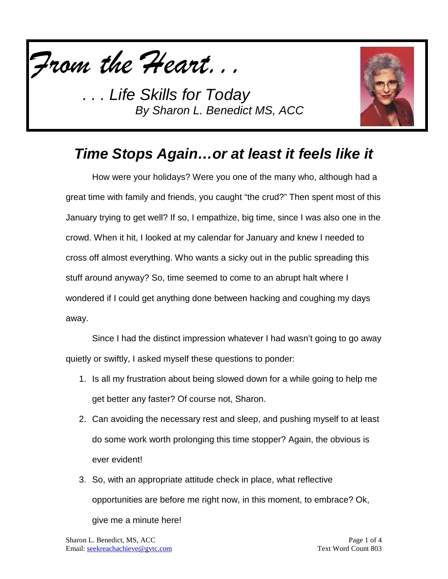



## *Time Stops Again…or at least it feels like it*

How were your holidays? Were you one of the many who, although had a great time with family and friends, you caught "the crud?" Then spent most of this January trying to get well? If so, I empathize, big time, since I was also one in the crowd. When it hit, I looked at my calendar for January and knew I needed to cross off almost everything. Who wants a sicky out in the public spreading this stuff around anyway? So, time seemed to come to an abrupt halt where I wondered if I could get anything done between hacking and coughing my days away.

Since I had the distinct impression whatever I had wasn't going to go away quietly or swiftly, I asked myself these questions to ponder:

- 1. Is all my frustration about being slowed down for a while going to help me get better any faster? Of course not, Sharon.
- 2. Can avoiding the necessary rest and sleep, and pushing myself to at least do some work worth prolonging this time stopper? Again, the obvious is ever evident!
- 3. So, with an appropriate attitude check in place, what reflective opportunities are before me right now, in this moment, to embrace? Ok, give me a minute here!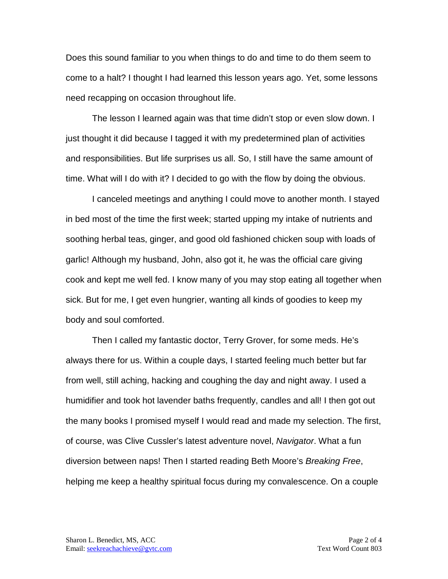Does this sound familiar to you when things to do and time to do them seem to come to a halt? I thought I had learned this lesson years ago. Yet, some lessons need recapping on occasion throughout life.

The lesson I learned again was that time didn't stop or even slow down. I just thought it did because I tagged it with my predetermined plan of activities and responsibilities. But life surprises us all. So, I still have the same amount of time. What will I do with it? I decided to go with the flow by doing the obvious.

I canceled meetings and anything I could move to another month. I stayed in bed most of the time the first week; started upping my intake of nutrients and soothing herbal teas, ginger, and good old fashioned chicken soup with loads of garlic! Although my husband, John, also got it, he was the official care giving cook and kept me well fed. I know many of you may stop eating all together when sick. But for me, I get even hungrier, wanting all kinds of goodies to keep my body and soul comforted.

Then I called my fantastic doctor, Terry Grover, for some meds. He's always there for us. Within a couple days, I started feeling much better but far from well, still aching, hacking and coughing the day and night away. I used a humidifier and took hot lavender baths frequently, candles and all! I then got out the many books I promised myself I would read and made my selection. The first, of course, was Clive Cussler's latest adventure novel, *Navigator*. What a fun diversion between naps! Then I started reading Beth Moore's *Breaking Free*, helping me keep a healthy spiritual focus during my convalescence. On a couple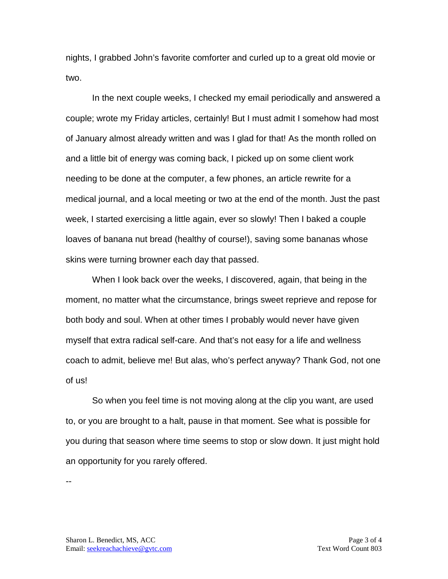nights, I grabbed John's favorite comforter and curled up to a great old movie or two.

In the next couple weeks, I checked my email periodically and answered a couple; wrote my Friday articles, certainly! But I must admit I somehow had most of January almost already written and was I glad for that! As the month rolled on and a little bit of energy was coming back, I picked up on some client work needing to be done at the computer, a few phones, an article rewrite for a medical journal, and a local meeting or two at the end of the month. Just the past week, I started exercising a little again, ever so slowly! Then I baked a couple loaves of banana nut bread (healthy of course!), saving some bananas whose skins were turning browner each day that passed.

When I look back over the weeks, I discovered, again, that being in the moment, no matter what the circumstance, brings sweet reprieve and repose for both body and soul. When at other times I probably would never have given myself that extra radical self-care. And that's not easy for a life and wellness coach to admit, believe me! But alas, who's perfect anyway? Thank God, not one of us!

So when you feel time is not moving along at the clip you want, are used to, or you are brought to a halt, pause in that moment. See what is possible for you during that season where time seems to stop or slow down. It just might hold an opportunity for you rarely offered.

--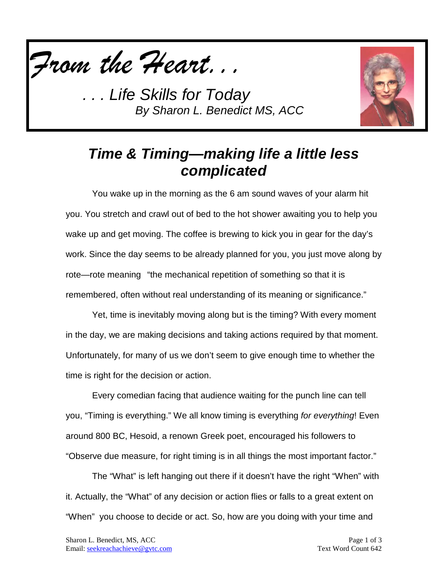



### *Time & Timing—making life a little less complicated*

You wake up in the morning as the 6 am sound waves of your alarm hit you. You stretch and crawl out of bed to the hot shower awaiting you to help you wake up and get moving. The coffee is brewing to kick you in gear for the day's work. Since the day seems to be already planned for you, you just move along by rote—rote meaning "the mechanical repetition of something so that it is remembered, often without real understanding of its meaning or significance."

Yet, time is inevitably moving along but is the timing? With every moment in the day, we are making decisions and taking actions required by that moment. Unfortunately, for many of us we don't seem to give enough time to whether the time is right for the decision or action.

Every comedian facing that audience waiting for the punch line can tell you, "Timing is everything." We all know timing is everything *for everything*! Even around 800 BC, Hesoid, a renown Greek poet, encouraged his followers to "Observe due measure, for right timing is in all things the most important factor."

The "What" is left hanging out there if it doesn't have the right "When" with it. Actually, the "What" of any decision or action flies or falls to a great extent on "When" you choose to decide or act. So, how are you doing with your time and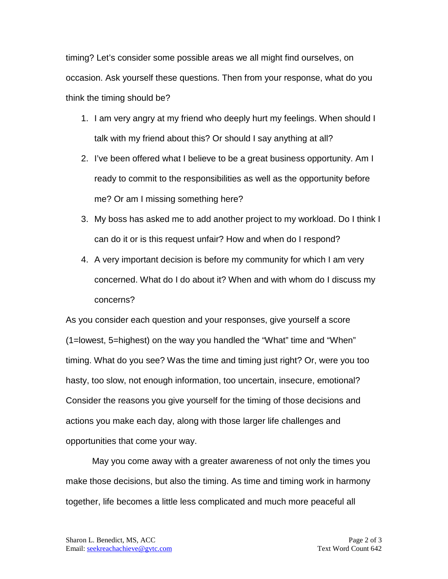timing? Let's consider some possible areas we all might find ourselves, on occasion. Ask yourself these questions. Then from your response, what do you think the timing should be?

- 1. I am very angry at my friend who deeply hurt my feelings. When should I talk with my friend about this? Or should I say anything at all?
- 2. I've been offered what I believe to be a great business opportunity. Am I ready to commit to the responsibilities as well as the opportunity before me? Or am I missing something here?
- 3. My boss has asked me to add another project to my workload. Do I think I can do it or is this request unfair? How and when do I respond?
- 4. A very important decision is before my community for which I am very concerned. What do I do about it? When and with whom do I discuss my concerns?

As you consider each question and your responses, give yourself a score (1=lowest, 5=highest) on the way you handled the "What" time and "When" timing. What do you see? Was the time and timing just right? Or, were you too hasty, too slow, not enough information, too uncertain, insecure, emotional? Consider the reasons you give yourself for the timing of those decisions and actions you make each day, along with those larger life challenges and opportunities that come your way.

May you come away with a greater awareness of not only the times you make those decisions, but also the timing. As time and timing work in harmony together, life becomes a little less complicated and much more peaceful all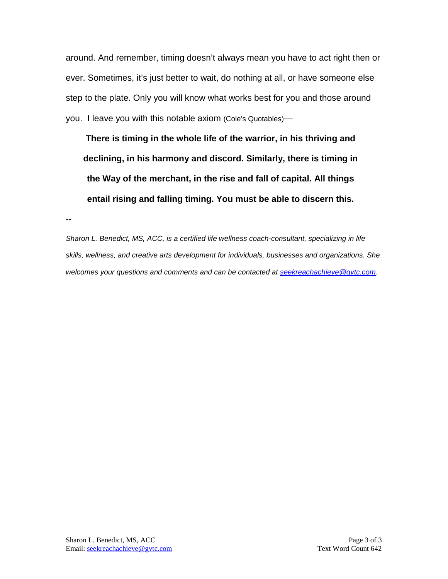around. And remember, timing doesn't always mean you have to act right then or ever. Sometimes, it's just better to wait, do nothing at all, or have someone else step to the plate. Only you will know what works best for you and those around you. I leave you with this notable axiom (Cole's Quotables)—

**There is timing in the whole life of the warrior, in his thriving and declining, in his harmony and discord. Similarly, there is timing in the Way of the merchant, in the rise and fall of capital. All things entail rising and falling timing. You must be able to discern this.** 

--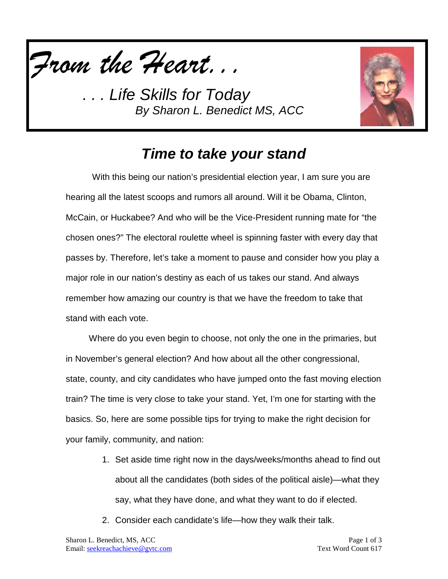



### *Time to take your stand*

With this being our nation's presidential election year, I am sure you are hearing all the latest scoops and rumors all around. Will it be Obama, Clinton, McCain, or Huckabee? And who will be the Vice-President running mate for "the chosen ones?" The electoral roulette wheel is spinning faster with every day that passes by. Therefore, let's take a moment to pause and consider how you play a major role in our nation's destiny as each of us takes our stand. And always remember how amazing our country is that we have the freedom to take that stand with each vote.

Where do you even begin to choose, not only the one in the primaries, but in November's general election? And how about all the other congressional, state, county, and city candidates who have jumped onto the fast moving election train? The time is very close to take your stand. Yet, I'm one for starting with the basics. So, here are some possible tips for trying to make the right decision for your family, community, and nation:

- 1. Set aside time right now in the days/weeks/months ahead to find out about all the candidates (both sides of the political aisle)—what they say, what they have done, and what they want to do if elected.
- 2. Consider each candidate's life—how they walk their talk.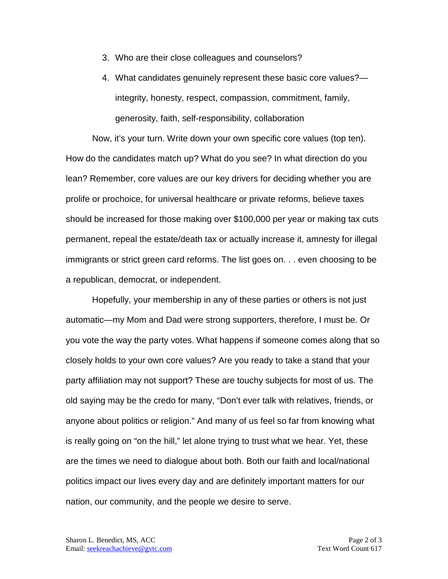- 3. Who are their close colleagues and counselors?
- 4. What candidates genuinely represent these basic core values? integrity, honesty, respect, compassion, commitment, family, generosity, faith, self-responsibility, collaboration

Now, it's your turn. Write down your own specific core values (top ten). How do the candidates match up? What do you see? In what direction do you lean? Remember, core values are our key drivers for deciding whether you are prolife or prochoice, for universal healthcare or private reforms, believe taxes should be increased for those making over \$100,000 per year or making tax cuts permanent, repeal the estate/death tax or actually increase it, amnesty for illegal immigrants or strict green card reforms. The list goes on. . . even choosing to be a republican, democrat, or independent.

Hopefully, your membership in any of these parties or others is not just automatic—my Mom and Dad were strong supporters, therefore, I must be. Or you vote the way the party votes. What happens if someone comes along that so closely holds to your own core values? Are you ready to take a stand that your party affiliation may not support? These are touchy subjects for most of us. The old saying may be the credo for many, "Don't ever talk with relatives, friends, or anyone about politics or religion." And many of us feel so far from knowing what is really going on "on the hill," let alone trying to trust what we hear. Yet, these are the times we need to dialogue about both. Both our faith and local/national politics impact our lives every day and are definitely important matters for our nation, our community, and the people we desire to serve.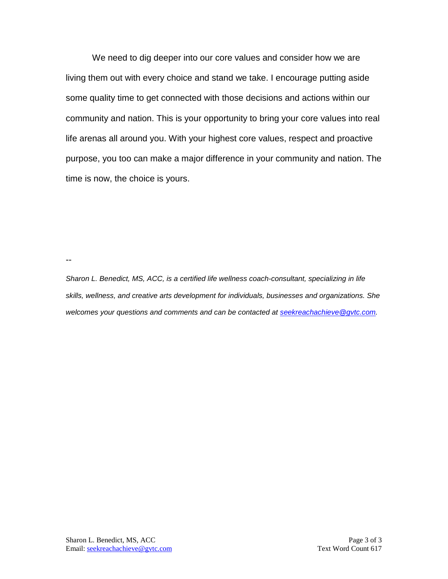We need to dig deeper into our core values and consider how we are living them out with every choice and stand we take. I encourage putting aside some quality time to get connected with those decisions and actions within our community and nation. This is your opportunity to bring your core values into real life arenas all around you. With your highest core values, respect and proactive purpose, you too can make a major difference in your community and nation. The time is now, the choice is yours.

--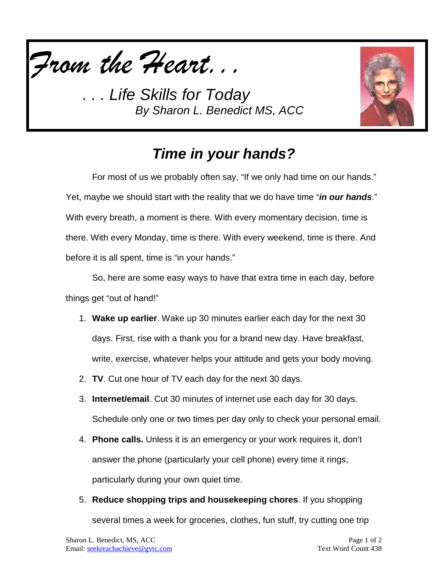



# *Time in your hands?*

For most of us we probably often say, "If we only had time on our hands." Yet, maybe we should start with the reality that we do have time "*in our hands*." With every breath, a moment is there. With every momentary decision, time is there. With every Monday, time is there. With every weekend, time is there. And before it is all spent, time is "in your hands."

So, here are some easy ways to have that extra time in each day, before things get "out of hand!"

- 1. **Wake up earlier**. Wake up 30 minutes earlier each day for the next 30 days. First, rise with a thank you for a brand new day. Have breakfast, write, exercise, whatever helps your attitude and gets your body moving.
- 2. **TV**. Cut one hour of TV each day for the next 30 days.
- 3. **Internet/email**. Cut 30 minutes of internet use each day for 30 days. Schedule only one or two times per day only to check your personal email.
- 4. **Phone calls.** Unless it is an emergency or your work requires it, don't answer the phone (particularly your cell phone) every time it rings, particularly during your own quiet time.
- 5. **Reduce shopping trips and housekeeping chores**. If you shopping several times a week for groceries, clothes, fun stuff, try cutting one trip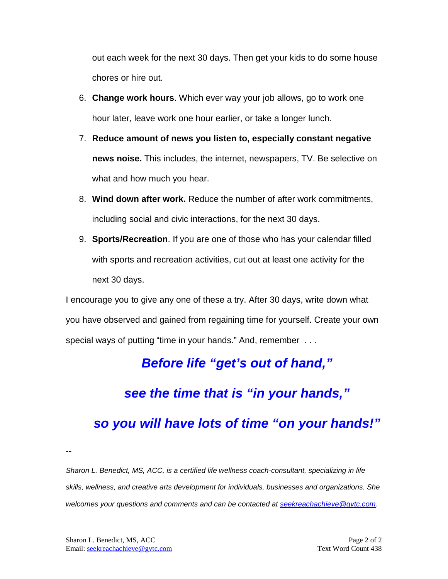out each week for the next 30 days. Then get your kids to do some house chores or hire out.

- 6. **Change work hours**. Which ever way your job allows, go to work one hour later, leave work one hour earlier, or take a longer lunch.
- 7. **Reduce amount of news you listen to, especially constant negative news noise.** This includes, the internet, newspapers, TV. Be selective on what and how much you hear.
- 8. **Wind down after work.** Reduce the number of after work commitments, including social and civic interactions, for the next 30 days.
- 9. **Sports/Recreation**. If you are one of those who has your calendar filled with sports and recreation activities, cut out at least one activity for the next 30 days.

I encourage you to give any one of these a try. After 30 days, write down what you have observed and gained from regaining time for yourself. Create your own special ways of putting "time in your hands." And, remember . . .

### *Before life "get's out of hand,"*

#### *see the time that is "in your hands,"*

#### *so you will have lots of time "on your hands!"*

--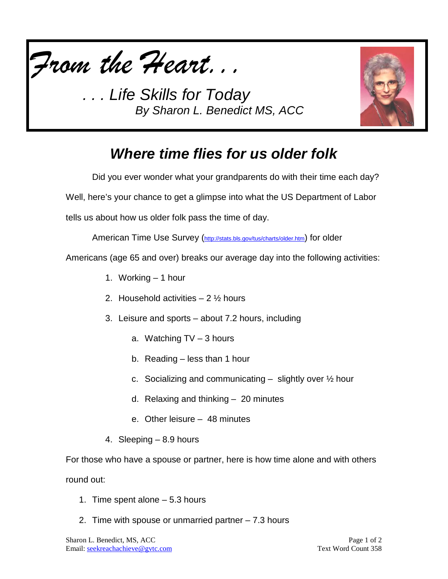



# *Where time flies for us older folk*

Did you ever wonder what your grandparents do with their time each day? Well, here's your chance to get a glimpse into what the US Department of Labor

tells us about how us older folk pass the time of day.

American Time Use Survey [\(http://stats.bls.gov/tus/charts/older.htm\)](http://stats.bls.gov/tus/charts/older.htm) for older

Americans (age 65 and over) breaks our average day into the following activities:

- 1. Working 1 hour
- 2. Household activities  $-2\frac{1}{2}$  hours
- 3. Leisure and sports about 7.2 hours, including
	- a. Watching TV 3 hours
	- b. Reading less than 1 hour
	- c. Socializing and communicating  $-$  slightly over  $\frac{1}{2}$  hour
	- d. Relaxing and thinking 20 minutes
	- e. Other leisure 48 minutes
- 4. Sleeping 8.9 hours

For those who have a spouse or partner, here is how time alone and with others round out:

- 1. Time spent alone 5.3 hours
- 2. Time with spouse or unmarried partner 7.3 hours